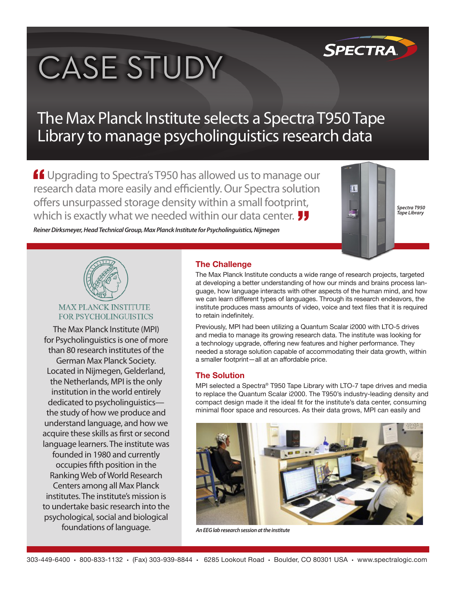# **CASE STUDY**



## The Max Planck Institute selects a Spectra T950 Tape Library to manage psycholinguistics research data

**ff** Upgrading to Spectra's T950 has allowed us to manage our research data more easily and efficiently. Our Spectra solution offers unsurpassed storage density within a small footprint, which is exactly what we needed within our data center.



*Spectra T950 Tape Library*

*Reiner Dirksmeyer, Head Technical Group, Max Planck Institute for Psycholinguistics, Nijmegen*



#### **MAX PLANCK INSTITUTE** FOR PSYCHOLINGUISTICS

The Max Planck Institute (MPI) for Psycholinguistics is one of more than 80 research institutes of the German Max Planck Society. Located in Nijmegen, Gelderland, the Netherlands, MPI is the only institution in the world entirely dedicated to psycholinguistics the study of how we produce and understand language, and how we acquire these skills as first or second language learners. The institute was founded in 1980 and currently occupies fifth position in the Ranking Web of World Research Centers among all Max Planck institutes. The institute's mission is to undertake basic research into the psychological, social and biological foundations of language.

## **The Challenge**

The Max Planck Institute conducts a wide range of research projects, targeted at developing a better understanding of how our minds and brains process language, how language interacts with other aspects of the human mind, and how we can learn different types of languages. Through its research endeavors, the institute produces mass amounts of video, voice and text files that it is required to retain indefinitely.

Previously, MPI had been utilizing a Quantum Scalar i2000 with LTO-5 drives and media to manage its growing research data. The institute was looking for a technology upgrade, offering new features and higher performance. They needed a storage solution capable of accommodating their data growth, within a smaller footprint—all at an affordable price.

### **The Solution**

MPI selected a Spectra® T950 Tape Library with LTO-7 tape drives and media to replace the Quantum Scalar i2000. The T950's industry-leading density and compact design made it the ideal fit for the institute's data center, consuming minimal floor space and resources. As their data grows, MPI can easily and



*An EEG lab research session at the institute*